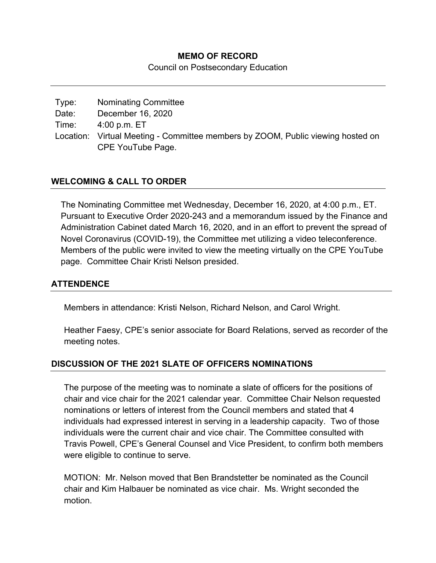### **MEMO OF RECORD**

Council on Postsecondary Education

| Type: | <b>Nominating Committee</b>                                                     |
|-------|---------------------------------------------------------------------------------|
| Date: | December 16, 2020                                                               |
| Time: | 4:00 p.m. ET                                                                    |
|       | Location: Virtual Meeting - Committee members by ZOOM, Public viewing hosted on |
|       | CPE YouTube Page.                                                               |

## **WELCOMING & CALL TO ORDER**

The Nominating Committee met Wednesday, December 16, 2020, at 4:00 p.m., ET. Pursuant to Executive Order 2020-243 and a memorandum issued by the Finance and Administration Cabinet dated March 16, 2020, and in an effort to prevent the spread of Novel Coronavirus (COVID-19), the Committee met utilizing a video teleconference. Members of the public were invited to view the meeting virtually on the CPE YouTube page. Committee Chair Kristi Nelson presided.

#### **ATTENDENCE**

Members in attendance: Kristi Nelson, Richard Nelson, and Carol Wright.

Heather Faesy, CPE's senior associate for Board Relations, served as recorder of the meeting notes.

## **DISCUSSION OF THE 2021 SLATE OF OFFICERS NOMINATIONS**

The purpose of the meeting was to nominate a slate of officers for the positions of chair and vice chair for the 2021 calendar year. Committee Chair Nelson requested nominations or letters of interest from the Council members and stated that 4 individuals had expressed interest in serving in a leadership capacity. Two of those individuals were the current chair and vice chair. The Committee consulted with Travis Powell, CPE's General Counsel and Vice President, to confirm both members were eligible to continue to serve.

MOTION: Mr. Nelson moved that Ben Brandstetter be nominated as the Council chair and Kim Halbauer be nominated as vice chair. Ms. Wright seconded the motion.